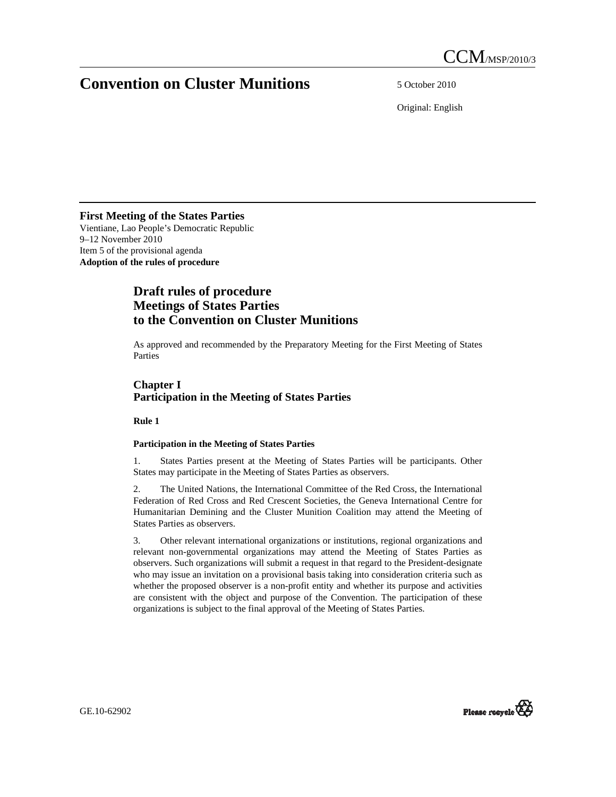# **Convention on Cluster Munitions** 5 October 2010

Original: English

# **First Meeting of the States Parties**

Vientiane, Lao People's Democratic Republic 9–12 November 2010 Item 5 of the provisional agenda **Adoption of the rules of procedure** 

# **Draft rules of procedure Meetings of States Parties to the Convention on Cluster Munitions**

As approved and recommended by the Preparatory Meeting for the First Meeting of States Parties

# **Chapter I Participation in the Meeting of States Parties**

 **Rule 1** 

# **Participation in the Meeting of States Parties**

1. States Parties present at the Meeting of States Parties will be participants. Other States may participate in the Meeting of States Parties as observers.

2. The United Nations, the International Committee of the Red Cross, the International Federation of Red Cross and Red Crescent Societies, the Geneva International Centre for Humanitarian Demining and the Cluster Munition Coalition may attend the Meeting of States Parties as observers.

3. Other relevant international organizations or institutions, regional organizations and relevant non-governmental organizations may attend the Meeting of States Parties as observers. Such organizations will submit a request in that regard to the President-designate who may issue an invitation on a provisional basis taking into consideration criteria such as whether the proposed observer is a non-profit entity and whether its purpose and activities are consistent with the object and purpose of the Convention. The participation of these organizations is subject to the final approval of the Meeting of States Parties.

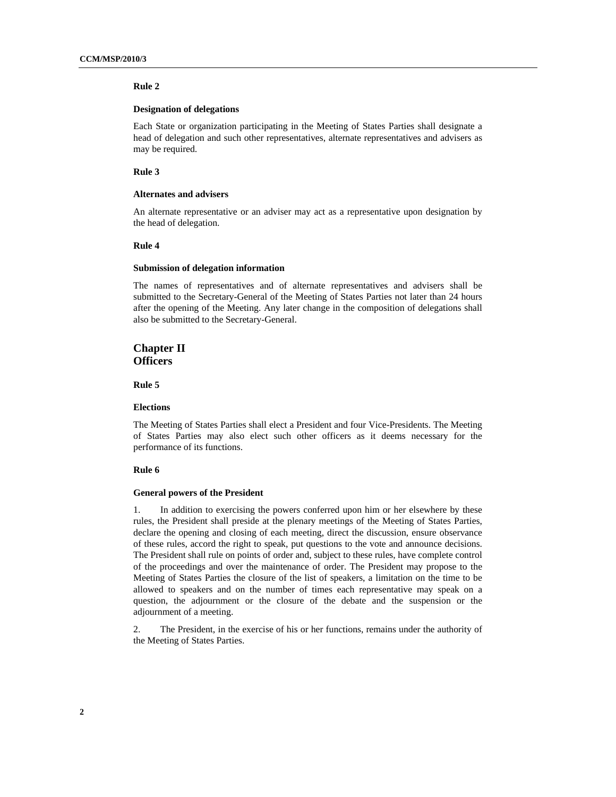## **Designation of delegations**

Each State or organization participating in the Meeting of States Parties shall designate a head of delegation and such other representatives, alternate representatives and advisers as may be required.

## **Rule 3**

## **Alternates and advisers**

An alternate representative or an adviser may act as a representative upon designation by the head of delegation.

#### **Rule 4**

#### **Submission of delegation information**

The names of representatives and of alternate representatives and advisers shall be submitted to the Secretary-General of the Meeting of States Parties not later than 24 hours after the opening of the Meeting. Any later change in the composition of delegations shall also be submitted to the Secretary-General.

# **Chapter II Officers**

 **Rule 5** 

## **Elections**

The Meeting of States Parties shall elect a President and four Vice-Presidents. The Meeting of States Parties may also elect such other officers as it deems necessary for the performance of its functions.

#### **Rule 6**

#### **General powers of the President**

1. In addition to exercising the powers conferred upon him or her elsewhere by these rules, the President shall preside at the plenary meetings of the Meeting of States Parties, declare the opening and closing of each meeting, direct the discussion, ensure observance of these rules, accord the right to speak, put questions to the vote and announce decisions. The President shall rule on points of order and, subject to these rules, have complete control of the proceedings and over the maintenance of order. The President may propose to the Meeting of States Parties the closure of the list of speakers, a limitation on the time to be allowed to speakers and on the number of times each representative may speak on a question, the adjournment or the closure of the debate and the suspension or the adjournment of a meeting.

2. The President, in the exercise of his or her functions, remains under the authority of the Meeting of States Parties.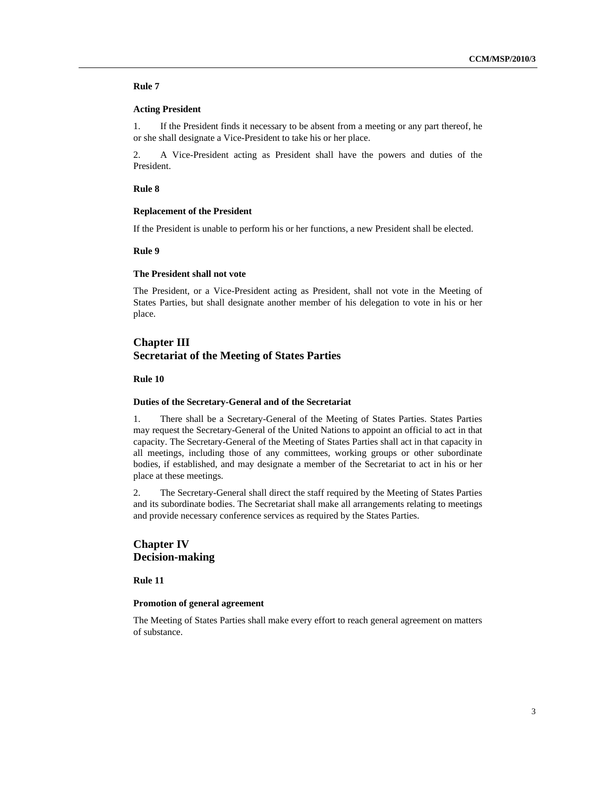## **Acting President**

1. If the President finds it necessary to be absent from a meeting or any part thereof, he or she shall designate a Vice-President to take his or her place.

2. A Vice-President acting as President shall have the powers and duties of the President.

## **Rule 8**

## **Replacement of the President**

If the President is unable to perform his or her functions, a new President shall be elected.

### **Rule 9**

## **The President shall not vote**

The President, or a Vice-President acting as President, shall not vote in the Meeting of States Parties, but shall designate another member of his delegation to vote in his or her place.

## **Chapter III Secretariat of the Meeting of States Parties**

## **Rule 10**

## **Duties of the Secretary-General and of the Secretariat**

1. There shall be a Secretary-General of the Meeting of States Parties. States Parties may request the Secretary-General of the United Nations to appoint an official to act in that capacity. The Secretary-General of the Meeting of States Parties shall act in that capacity in all meetings, including those of any committees, working groups or other subordinate bodies, if established, and may designate a member of the Secretariat to act in his or her place at these meetings.

2. The Secretary-General shall direct the staff required by the Meeting of States Parties and its subordinate bodies. The Secretariat shall make all arrangements relating to meetings and provide necessary conference services as required by the States Parties.

# **Chapter IV Decision-making**

 **Rule 11** 

## **Promotion of general agreement**

The Meeting of States Parties shall make every effort to reach general agreement on matters of substance.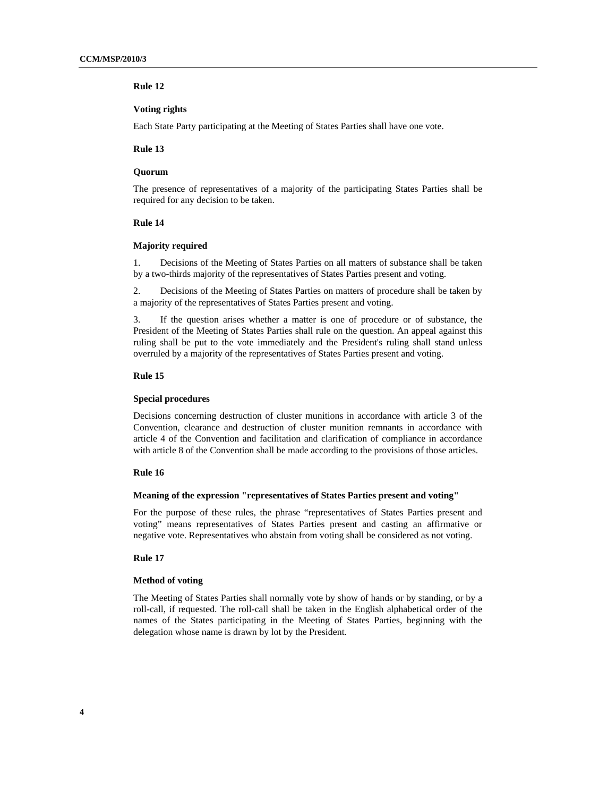## **Voting rights**

Each State Party participating at the Meeting of States Parties shall have one vote.

## **Rule 13**

#### **Quorum**

The presence of representatives of a majority of the participating States Parties shall be required for any decision to be taken.

## **Rule 14**

## **Majority required**

1. Decisions of the Meeting of States Parties on all matters of substance shall be taken by a two-thirds majority of the representatives of States Parties present and voting.

2. Decisions of the Meeting of States Parties on matters of procedure shall be taken by a majority of the representatives of States Parties present and voting.

3. If the question arises whether a matter is one of procedure or of substance, the President of the Meeting of States Parties shall rule on the question. An appeal against this ruling shall be put to the vote immediately and the President's ruling shall stand unless overruled by a majority of the representatives of States Parties present and voting.

## **Rule 15**

## **Special procedures**

Decisions concerning destruction of cluster munitions in accordance with article 3 of the Convention, clearance and destruction of cluster munition remnants in accordance with article 4 of the Convention and facilitation and clarification of compliance in accordance with article 8 of the Convention shall be made according to the provisions of those articles.

## **Rule 16**

#### **Meaning of the expression "representatives of States Parties present and voting"**

For the purpose of these rules, the phrase "representatives of States Parties present and voting" means representatives of States Parties present and casting an affirmative or negative vote. Representatives who abstain from voting shall be considered as not voting.

## **Rule 17**

#### **Method of voting**

The Meeting of States Parties shall normally vote by show of hands or by standing, or by a roll-call, if requested. The roll-call shall be taken in the English alphabetical order of the names of the States participating in the Meeting of States Parties, beginning with the delegation whose name is drawn by lot by the President.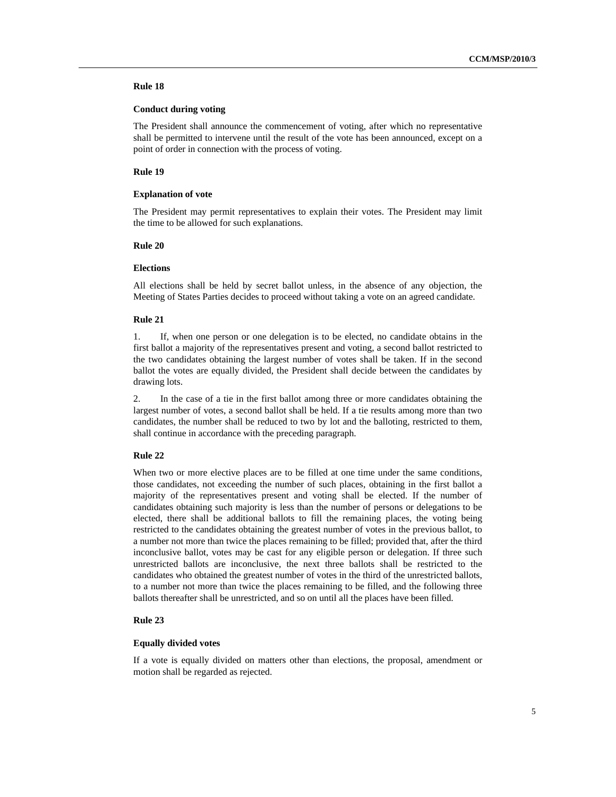## **Conduct during voting**

The President shall announce the commencement of voting, after which no representative shall be permitted to intervene until the result of the vote has been announced, except on a point of order in connection with the process of voting.

## **Rule 19**

## **Explanation of vote**

The President may permit representatives to explain their votes. The President may limit the time to be allowed for such explanations.

## **Rule 20**

## **Elections**

All elections shall be held by secret ballot unless, in the absence of any objection, the Meeting of States Parties decides to proceed without taking a vote on an agreed candidate.

#### **Rule 21**

1. If, when one person or one delegation is to be elected, no candidate obtains in the first ballot a majority of the representatives present and voting, a second ballot restricted to the two candidates obtaining the largest number of votes shall be taken. If in the second ballot the votes are equally divided, the President shall decide between the candidates by drawing lots.

2. In the case of a tie in the first ballot among three or more candidates obtaining the largest number of votes, a second ballot shall be held. If a tie results among more than two candidates, the number shall be reduced to two by lot and the balloting, restricted to them, shall continue in accordance with the preceding paragraph.

## **Rule 22**

When two or more elective places are to be filled at one time under the same conditions, those candidates, not exceeding the number of such places, obtaining in the first ballot a majority of the representatives present and voting shall be elected. If the number of candidates obtaining such majority is less than the number of persons or delegations to be elected, there shall be additional ballots to fill the remaining places, the voting being restricted to the candidates obtaining the greatest number of votes in the previous ballot, to a number not more than twice the places remaining to be filled; provided that, after the third inconclusive ballot, votes may be cast for any eligible person or delegation. If three such unrestricted ballots are inconclusive, the next three ballots shall be restricted to the candidates who obtained the greatest number of votes in the third of the unrestricted ballots, to a number not more than twice the places remaining to be filled, and the following three ballots thereafter shall be unrestricted, and so on until all the places have been filled.

## **Rule 23**

#### **Equally divided votes**

If a vote is equally divided on matters other than elections, the proposal, amendment or motion shall be regarded as rejected.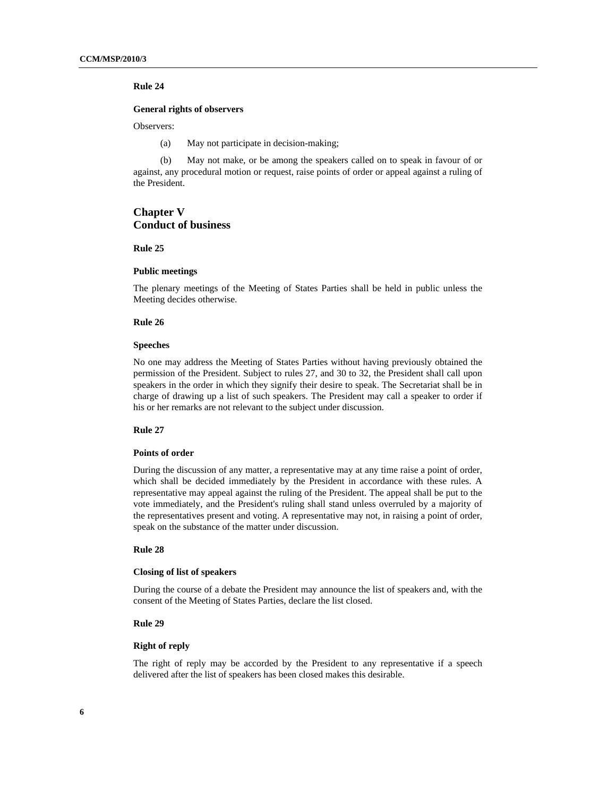## **General rights of observers**

Observers:

(a) May not participate in decision-making;

(b) May not make, or be among the speakers called on to speak in favour of or against, any procedural motion or request, raise points of order or appeal against a ruling of the President.

# **Chapter V Conduct of business**

 **Rule 25** 

## **Public meetings**

The plenary meetings of the Meeting of States Parties shall be held in public unless the Meeting decides otherwise.

## **Rule 26**

## **Speeches**

No one may address the Meeting of States Parties without having previously obtained the permission of the President. Subject to rules 27, and 30 to 32, the President shall call upon speakers in the order in which they signify their desire to speak. The Secretariat shall be in charge of drawing up a list of such speakers. The President may call a speaker to order if his or her remarks are not relevant to the subject under discussion.

## **Rule 27**

#### **Points of order**

During the discussion of any matter, a representative may at any time raise a point of order, which shall be decided immediately by the President in accordance with these rules. A representative may appeal against the ruling of the President. The appeal shall be put to the vote immediately, and the President's ruling shall stand unless overruled by a majority of the representatives present and voting. A representative may not, in raising a point of order, speak on the substance of the matter under discussion.

#### **Rule 28**

## **Closing of list of speakers**

During the course of a debate the President may announce the list of speakers and, with the consent of the Meeting of States Parties, declare the list closed.

## **Rule 29**

## **Right of reply**

The right of reply may be accorded by the President to any representative if a speech delivered after the list of speakers has been closed makes this desirable.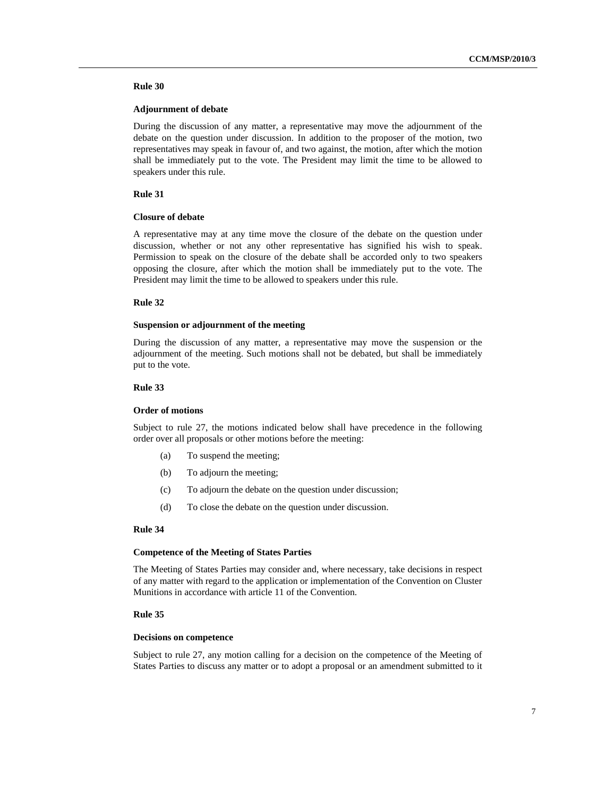## **Adjournment of debate**

During the discussion of any matter, a representative may move the adjournment of the debate on the question under discussion. In addition to the proposer of the motion, two representatives may speak in favour of, and two against, the motion, after which the motion shall be immediately put to the vote. The President may limit the time to be allowed to speakers under this rule.

## **Rule 31**

## **Closure of debate**

A representative may at any time move the closure of the debate on the question under discussion, whether or not any other representative has signified his wish to speak. Permission to speak on the closure of the debate shall be accorded only to two speakers opposing the closure, after which the motion shall be immediately put to the vote. The President may limit the time to be allowed to speakers under this rule.

#### **Rule 32**

## **Suspension or adjournment of the meeting**

During the discussion of any matter, a representative may move the suspension or the adjournment of the meeting. Such motions shall not be debated, but shall be immediately put to the vote.

## **Rule 33**

## **Order of motions**

Subject to rule 27, the motions indicated below shall have precedence in the following order over all proposals or other motions before the meeting:

- (a) To suspend the meeting;
- (b) To adjourn the meeting;
- (c) To adjourn the debate on the question under discussion;
- (d) To close the debate on the question under discussion.

#### **Rule 34**

#### **Competence of the Meeting of States Parties**

The Meeting of States Parties may consider and, where necessary, take decisions in respect of any matter with regard to the application or implementation of the Convention on Cluster Munitions in accordance with article 11 of the Convention.

## **Rule 35**

#### **Decisions on competence**

Subject to rule 27, any motion calling for a decision on the competence of the Meeting of States Parties to discuss any matter or to adopt a proposal or an amendment submitted to it